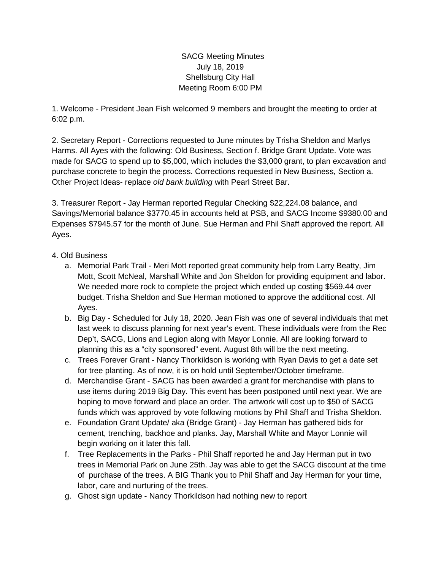SACG Meeting Minutes July 18, 2019 Shellsburg City Hall Meeting Room 6:00 PM

1. Welcome - President Jean Fish welcomed 9 members and brought the meeting to order at 6:02 p.m.

2. Secretary Report - Corrections requested to June minutes by Trisha Sheldon and Marlys Harms. All Ayes with the following: Old Business, Section f. Bridge Grant Update. Vote was made for SACG to spend up to \$5,000, which includes the \$3,000 grant, to plan excavation and purchase concrete to begin the process. Corrections requested in New Business, Section a. Other Project Ideas- replace *old bank building* with Pearl Street Bar.

3. Treasurer Report - Jay Herman reported Regular Checking \$22,224.08 balance, and Savings/Memorial balance \$3770.45 in accounts held at PSB, and SACG Income \$9380.00 and Expenses \$7945.57 for the month of June. Sue Herman and Phil Shaff approved the report. All Ayes.

## 4. Old Business

- a. Memorial Park Trail Meri Mott reported great community help from Larry Beatty, Jim Mott, Scott McNeal, Marshall White and Jon Sheldon for providing equipment and labor. We needed more rock to complete the project which ended up costing \$569.44 over budget. Trisha Sheldon and Sue Herman motioned to approve the additional cost. All Ayes.
- b. Big Day Scheduled for July 18, 2020. Jean Fish was one of several individuals that met last week to discuss planning for next year's event. These individuals were from the Rec Dep't, SACG, Lions and Legion along with Mayor Lonnie. All are looking forward to planning this as a "city sponsored" event. August 8th will be the next meeting.
- c. Trees Forever Grant Nancy Thorkildson is working with Ryan Davis to get a date set for tree planting. As of now, it is on hold until September/October timeframe.
- d. Merchandise Grant SACG has been awarded a grant for merchandise with plans to use items during 2019 Big Day. This event has been postponed until next year. We are hoping to move forward and place an order. The artwork will cost up to \$50 of SACG funds which was approved by vote following motions by Phil Shaff and Trisha Sheldon.
- e. Foundation Grant Update/ aka (Bridge Grant) Jay Herman has gathered bids for cement, trenching, backhoe and planks. Jay, Marshall White and Mayor Lonnie will begin working on it later this fall.
- f. Tree Replacements in the Parks Phil Shaff reported he and Jay Herman put in two trees in Memorial Park on June 25th. Jay was able to get the SACG discount at the time of purchase of the trees. A BIG Thank you to Phil Shaff and Jay Herman for your time, labor, care and nurturing of the trees.
- g. Ghost sign update Nancy Thorkildson had nothing new to report